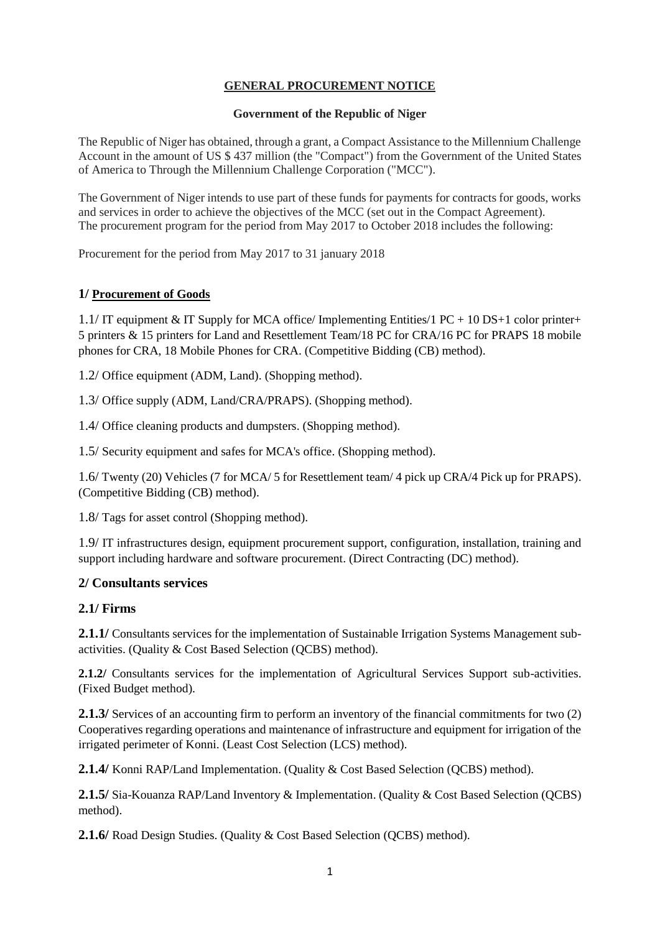## **GENERAL PROCUREMENT NOTICE**

#### **Government of the Republic of Niger**

The Republic of Niger has obtained, through a grant, a Compact Assistance to the Millennium Challenge Account in the amount of US \$ 437 million (the "Compact") from the Government of the United States of America to Through the Millennium Challenge Corporation ("MCC").

The Government of Niger intends to use part of these funds for payments for contracts for goods, works and services in order to achieve the objectives of the MCC (set out in the Compact Agreement). The procurement program for the period from May 2017 to October 2018 includes the following:

Procurement for the period from May 2017 to 31 january 2018

### **1/ Procurement of Goods**

1.1/ IT equipment & IT Supply for MCA office/ Implementing Entities/1 PC + 10 DS+1 color printer+ 5 printers & 15 printers for Land and Resettlement Team/18 PC for CRA/16 PC for PRAPS 18 mobile phones for CRA, 18 Mobile Phones for CRA. (Competitive Bidding (CB) method).

1.2/ Office equipment (ADM, Land). (Shopping method).

1.3/ Office supply (ADM, Land/CRA/PRAPS). (Shopping method).

1.4/ Office cleaning products and dumpsters. (Shopping method).

1.5/ Security equipment and safes for MCA's office. (Shopping method).

1.6/ Twenty (20) Vehicles (7 for MCA/ 5 for Resettlement team/ 4 pick up CRA/4 Pick up for PRAPS). (Competitive Bidding (CB) method).

1.8/ Tags for asset control (Shopping method).

1.9/ IT infrastructures design, equipment procurement support, configuration, installation, training and support including hardware and software procurement. (Direct Contracting (DC) method).

# **2/ Consultants services**

### **2.1/ Firms**

**2.1.1/** Consultants services for the implementation of Sustainable Irrigation Systems Management subactivities. (Quality & Cost Based Selection (QCBS) method).

**2.1.2/** Consultants services for the implementation of Agricultural Services Support sub-activities. (Fixed Budget method).

**2.1.3/** Services of an accounting firm to perform an inventory of the financial commitments for two (2) Cooperatives regarding operations and maintenance of infrastructure and equipment for irrigation of the irrigated perimeter of Konni. (Least Cost Selection (LCS) method).

**2.1.4/** Konni RAP/Land Implementation. (Quality & Cost Based Selection (QCBS) method).

**2.1.5/** Sia-Kouanza RAP/Land Inventory & Implementation. (Quality & Cost Based Selection (QCBS) method).

**2.1.6/** Road Design Studies. (Quality & Cost Based Selection (QCBS) method).